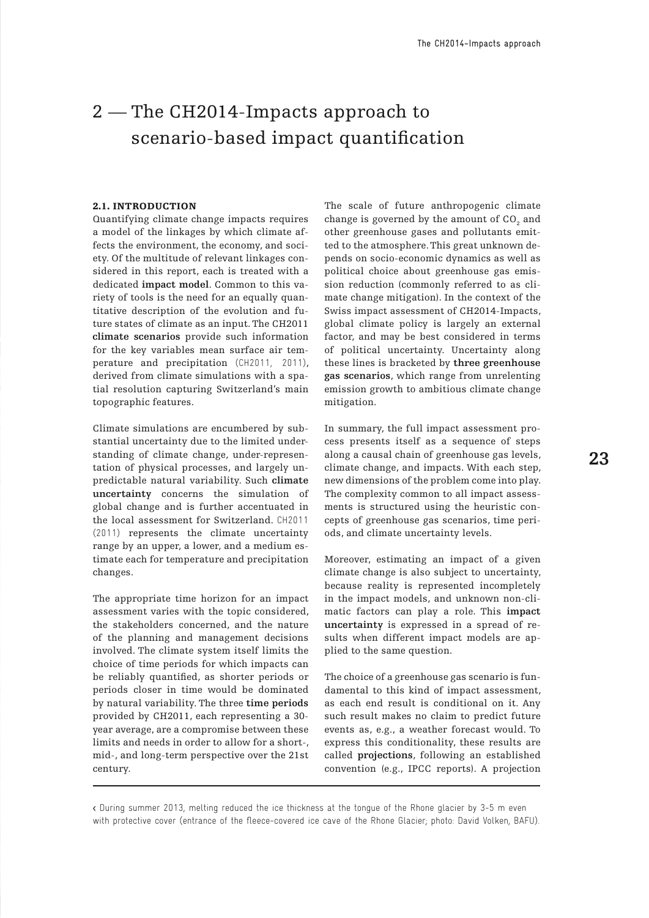# 2 – The CH2014-Impacts approach to scenario-based impact quantification

#### 2.1. INTRODUCTION

Quantifying climate change impacts requires a model of the linkages by which climate affects the environment, the economy, and society. Of the multitude of relevant linkages considered in this report, each is treated with a dedicated **impact model**. Common to this variety of tools is the need for an equally quantitative description of the evolution and future states of climate as an input. The CH2011 **climate scenarios** provide such information for the key variables mean surface air temperature and precipitation (CH2011, 2011), derived from climate simulations with a spatial resolution capturing Switzerland's main topographic features.

Climate simulations are encumbered by substantial uncertainty due to the limited understanding of climate change, under-representation of physical processes, and largely unpredictable natural variability. Such **climate uncertainty** concerns the simulation of global change and is further accentuated in the local assessment for Switzerland. CH2011 (2011) represents the climate uncertainty range by an upper, a lower, and a medium estimate each for temperature and precipitation changes.

The appropriate time horizon for an impact assessment varies with the topic considered, the stakeholders concerned, and the nature of the planning and management decisions involved. The climate system itself limits the choice of time periods for which impacts can be reliably quantified, as shorter periods or periods closer in time would be dominated by natural variability. The three **time periods** provided by CH2011, each representing a 30 year average, are a compromise between these limits and needs in order to allow for a short-, mid-, and long-term perspective over the 21st century.

The scale of future anthropogenic climate change is governed by the amount of  $\mathrm{CO}_2^{}$  and other greenhouse gases and pollutants emitted to the atmosphere. This great unknown depends on socio-economic dynamics as well as political choice about greenhouse gas emission reduction (commonly referred to as climate change mitigation). In the context of the Swiss impact assessment of CH2014-Impacts, global climate policy is largely an external factor, and may be best considered in terms of political uncertainty. Uncertainty along these lines is bracketed by **three greenhouse gas scenarios**, which range from unrelenting emission growth to ambitious climate change mitigation.

In summary, the full impact assessment process presents itself as a sequence of steps along a causal chain of greenhouse gas levels, climate change, and impacts. With each step, new dimensions of the problem come into play. The complexity common to all impact assessments is structured using the heuristic concepts of greenhouse gas scenarios, time periods, and climate uncertainty levels.

Moreover, estimating an impact of a given climate change is also subject to uncertainty, because reality is represented incompletely in the impact models, and unknown non-climatic factors can play a role. This **impact uncertainty** is expressed in a spread of results when different impact models are applied to the same question.

The choice of a greenhouse gas scenario is fundamental to this kind of impact assessment, as each end result is conditional on it. Any such result makes no claim to predict future events as, e.g., a weather forecast would. To express this conditionality, these results are called **projections**, following an established convention (e.g., IPCC reports). A projection

< During summer 2013, melting reduced the ice thickness at the tongue of the Rhone glacier by 3-5 m even with protective cover (entrance of the fleece-covered ice cave of the Rhone Glacier; photo: David Volken, BAFU).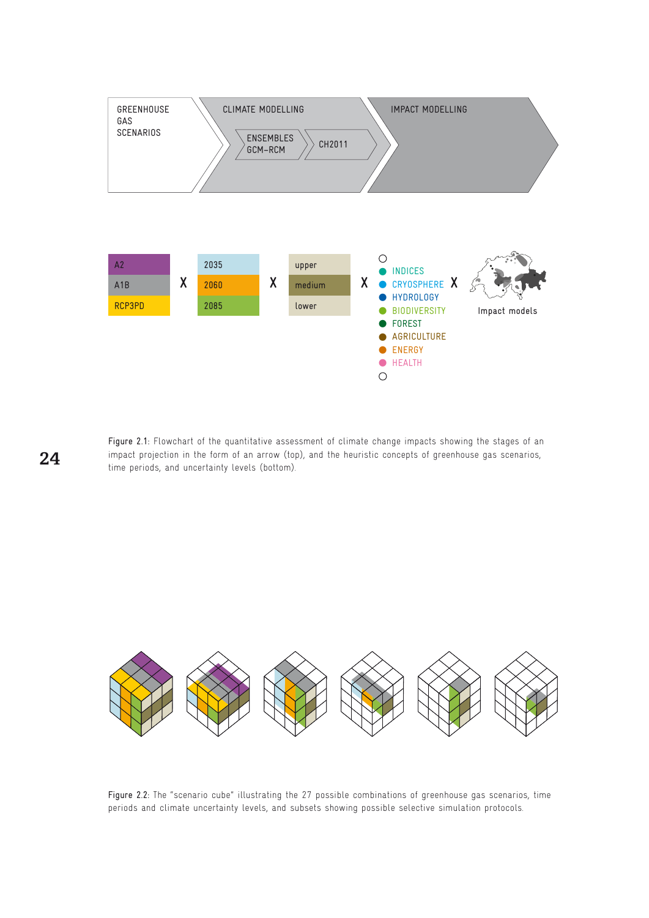

Figure 2.1: Flowchart of the quantitative assessment of climate change impacts showing the stages of an impact projection in the form of an arrow (top), and the heuristic concepts of greenhouse gas scenarios, time periods, and uncertainty levels (bottom).

**•** Health



Figure 2.2: The "scenario cube" illustrating the 27 possible combinations of greenhouse gas scenarios, time periods and climate uncertainty levels, and subsets showing possible selective simulation protocols.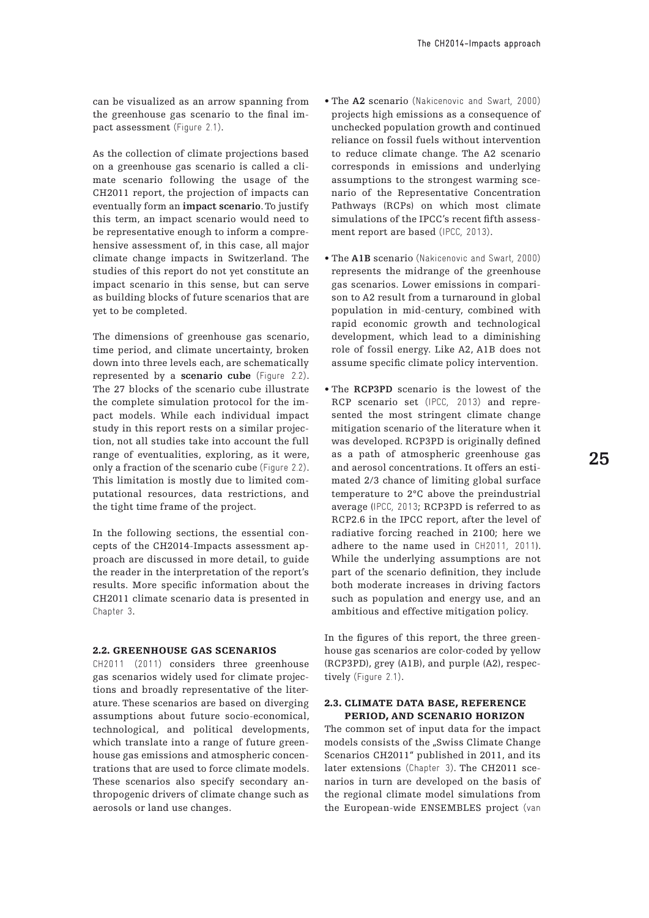can be visualized as an arrow spanning from the greenhouse gas scenario to the final impact assessment (Figure 2.1).

As the collection of climate projections based on a greenhouse gas scenario is called a climate scenario following the usage of the CH2011 report, the projection of impacts can eventually form an **impact scenario**. To justify this term, an impact scenario would need to be representative enough to inform a comprehensive assessment of, in this case, all major climate change impacts in Switzerland. The studies of this report do not yet constitute an impact scenario in this sense, but can serve as building blocks of future scenarios that are yet to be completed.

The dimensions of greenhouse gas scenario, time period, and climate uncertainty, broken down into three levels each, are schematically represented by a **scenario cube** (Figure 2.2). The 27 blocks of the scenario cube illustrate the complete simulation protocol for the impact models. While each individual impact study in this report rests on a similar projection, not all studies take into account the full range of eventualities, exploring, as it were, only a fraction of the scenario cube (Figure 2.2). This limitation is mostly due to limited computational resources, data restrictions, and the tight time frame of the project.

In the following sections, the essential concepts of the CH2014-Impacts assessment approach are discussed in more detail, to guide the reader in the interpretation of the report's results. More specific information about the CH2011 climate scenario data is presented in Chapter 3.

## 2.2. Greenhouse gas scenarios

CH2011 (2011) considers three greenhouse gas scenarios widely used for climate projections and broadly representative of the literature. These scenarios are based on diverging assumptions about future socio-economical, technological, and political developments, which translate into a range of future greenhouse gas emissions and atmospheric concentrations that are used to force climate models. These scenarios also specify secondary anthropogenic drivers of climate change such as aerosols or land use changes.

- The **A2** scenario (Nakicenovic and Swart, 2000) projects high emissions as a consequence of unchecked population growth and continued reliance on fossil fuels without intervention to reduce climate change. The A2 scenario corresponds in emissions and underlying assumptions to the strongest warming scenario of the Representative Concentration Pathways (RCPs) on which most climate simulations of the IPCC's recent fifth assessment report are based (IPCC, 2013).
- The **A1B** scenario (Nakicenovic and Swart, 2000) represents the midrange of the greenhouse gas scenarios. Lower emissions in comparison to A2 result from a turnaround in global population in mid-century, combined with rapid economic growth and technological development, which lead to a diminishing role of fossil energy. Like A2, A1B does not assume specific climate policy intervention.
- The **RCP3PD** scenario is the lowest of the RCP scenario set (IPCC, 2013) and represented the most stringent climate change mitigation scenario of the literature when it was developed. RCP3PD is originally defined as a path of atmospheric greenhouse gas and aerosol concentrations. It offers an estimated 2/3 chance of limiting global surface temperature to 2°C above the preindustrial average (IPCC, 2013; RCP3PD is referred to as RCP2.6 in the IPCC report, after the level of radiative forcing reached in 2100; here we adhere to the name used in CH2011, 2011). While the underlying assumptions are not part of the scenario definition, they include both moderate increases in driving factors such as population and energy use, and an ambitious and effective mitigation policy.

In the figures of this report, the three greenhouse gas scenarios are color-coded by yellow (RCP3PD), grey (A1B), and purple (A2), respectively (Figure 2.1).

#### 2.3. Climate data base, reference period, and scenario horizon

The common set of input data for the impact models consists of the "Swiss Climate Change Scenarios CH2011" published in 2011, and its later extensions (Chapter 3). The CH2011 scenarios in turn are developed on the basis of the regional climate model simulations from the European-wide ENSEMBLES project (van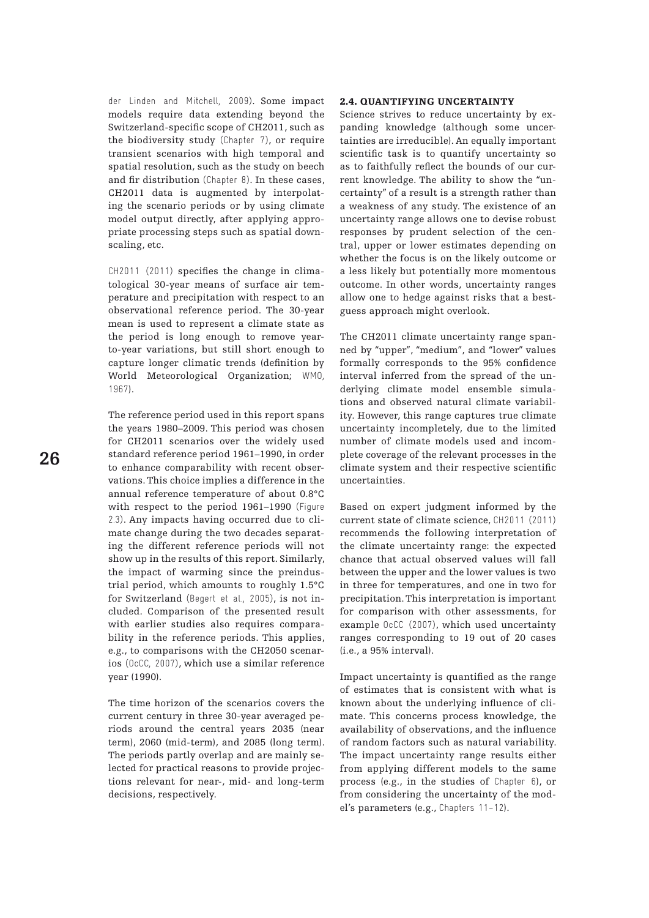der Linden and Mitchell, 2009). Some impact models require data extending beyond the Switzerland-specific scope of CH2011, such as the biodiversity study (Chapter 7), or require transient scenarios with high temporal and spatial resolution, such as the study on beech and fir distribution (Chapter 8). In these cases, CH2011 data is augmented by interpolating the scenario periods or by using climate model output directly, after applying appropriate processing steps such as spatial downscaling, etc.

CH2011 (2011) specifies the change in climatological 30-year means of surface air temperature and precipitation with respect to an observational reference period. The 30-year mean is used to represent a climate state as the period is long enough to remove yearto-year variations, but still short enough to capture longer climatic trends (definition by World Meteorological Organization; WMO, 1967).

The reference period used in this report spans the years 1980–2009. This period was chosen for CH2011 scenarios over the widely used standard reference period 1961–1990, in order to enhance comparability with recent observations. This choice implies a difference in the annual reference temperature of about 0.8°C with respect to the period 1961–1990 (Figure 2.3). Any impacts having occurred due to climate change during the two decades separating the different reference periods will not show up in the results of this report. Similarly, the impact of warming since the preindustrial period, which amounts to roughly 1.5°C for Switzerland (Begert et al., 2005), is not included. Comparison of the presented result with earlier studies also requires comparability in the reference periods. This applies, e.g., to comparisons with the CH2050 scenarios (OcCC, 2007), which use a similar reference year (1990).

The time horizon of the scenarios covers the current century in three 30-year averaged periods around the central years 2035 (near term), 2060 (mid-term), and 2085 (long term). The periods partly overlap and are mainly selected for practical reasons to provide projections relevant for near-, mid- and long-term decisions, respectively.

### 2.4. Quantifying uncertainty

Science strives to reduce uncertainty by expanding knowledge (although some uncertainties are irreducible). An equally important scientific task is to quantify uncertainty so as to faithfully reflect the bounds of our current knowledge. The ability to show the "uncertainty" of a result is a strength rather than a weakness of any study. The existence of an uncertainty range allows one to devise robust responses by prudent selection of the central, upper or lower estimates depending on whether the focus is on the likely outcome or a less likely but potentially more momentous outcome. In other words, uncertainty ranges allow one to hedge against risks that a bestguess approach might overlook.

The CH2011 climate uncertainty range spanned by "upper", "medium", and "lower" values formally corresponds to the 95% confidence interval inferred from the spread of the underlying climate model ensemble simulations and observed natural climate variability. However, this range captures true climate uncertainty incompletely, due to the limited number of climate models used and incomplete coverage of the relevant processes in the climate system and their respective scientific uncertainties.

Based on expert judgment informed by the current state of climate science, CH2011 (2011) recommends the following interpretation of the climate uncertainty range: the expected chance that actual observed values will fall between the upper and the lower values is two in three for temperatures, and one in two for precipitation. This interpretation is important for comparison with other assessments, for example OcCC (2007), which used uncertainty ranges corresponding to 19 out of 20 cases (i.e., a 95% interval).

Impact uncertainty is quantified as the range of estimates that is consistent with what is known about the underlying influence of climate. This concerns process knowledge, the availability of observations, and the influence of random factors such as natural variability. The impact uncertainty range results either from applying different models to the same process (e.g., in the studies of Chapter 6), or from considering the uncertainty of the model's parameters (e.g., Chapters 11–12).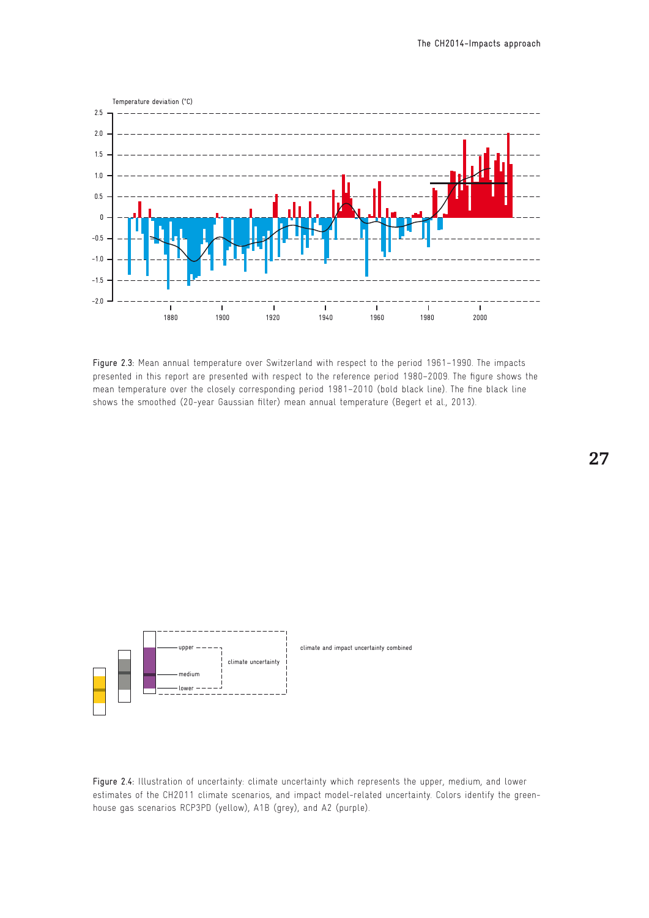

Figure 2.3: Mean annual temperature over Switzerland with respect to the period 1961–1990. The impacts presented in this report are presented with respect to the reference period 1980–2009. The figure shows the mean temperature over the closely corresponding period 1981–2010 (bold black line). The fine black line shows the smoothed (20-year Gaussian filter) mean annual temperature (Begert et al., 2013).



Figure 2.4: Illustration of uncertainty: climate uncertainty which represents the upper, medium, and lower estimates of the CH2011 climate scenarios, and impact model-related uncertainty. Colors identify the greenhouse gas scenarios RCP3PD (yellow), A1B (grey), and A2 (purple).